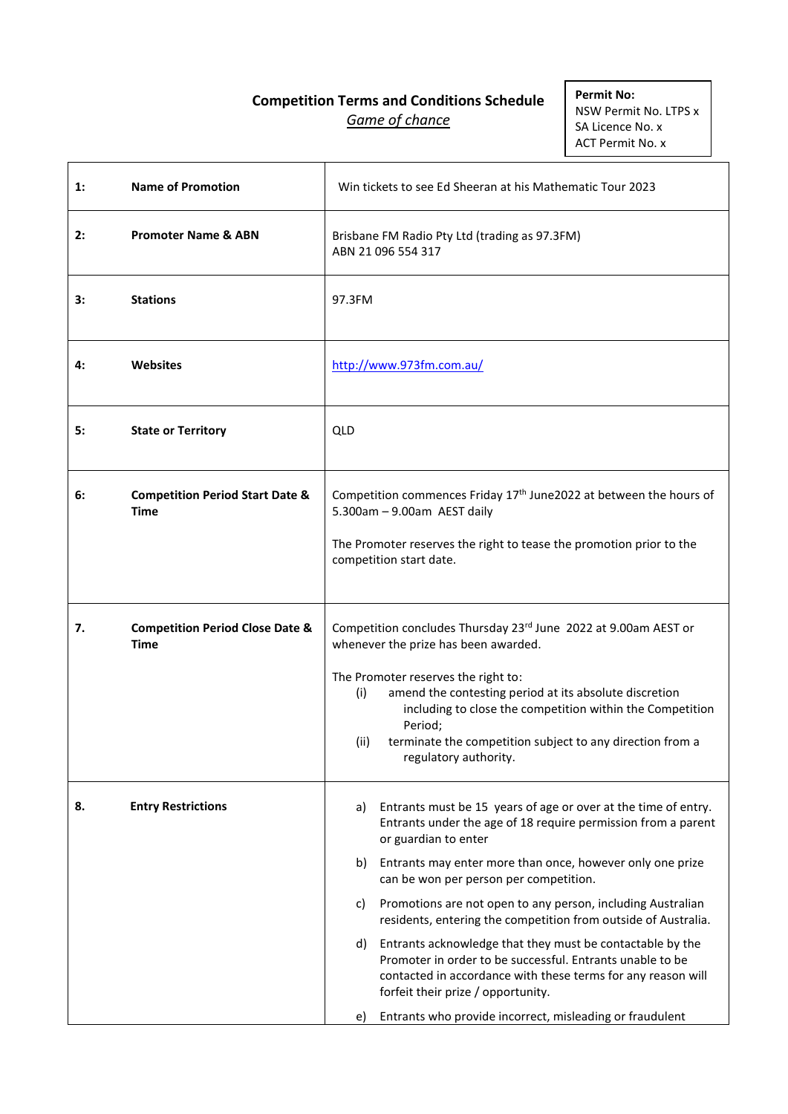# **Competition Terms and Conditions Schedule** *Game of chance*

**Permit No:** NSW Permit No. LTPS x SA Licence No. x ACT Permit No. x

| $\mathbf{1}$ : | <b>Name of Promotion</b>                                  |                                                                                                                                                                                                                 | Win tickets to see Ed Sheeran at his Mathematic Tour 2023                                                                                                                                                                                                   |
|----------------|-----------------------------------------------------------|-----------------------------------------------------------------------------------------------------------------------------------------------------------------------------------------------------------------|-------------------------------------------------------------------------------------------------------------------------------------------------------------------------------------------------------------------------------------------------------------|
| 2:             | <b>Promoter Name &amp; ABN</b>                            |                                                                                                                                                                                                                 | Brisbane FM Radio Pty Ltd (trading as 97.3FM)<br>ABN 21 096 554 317                                                                                                                                                                                         |
| 3:             | <b>Stations</b>                                           | 97.3FM                                                                                                                                                                                                          |                                                                                                                                                                                                                                                             |
| 4:             | Websites                                                  | http://www.973fm.com.au/                                                                                                                                                                                        |                                                                                                                                                                                                                                                             |
| 5:             | <b>State or Territory</b>                                 | QLD                                                                                                                                                                                                             |                                                                                                                                                                                                                                                             |
| 6:             | <b>Competition Period Start Date &amp;</b><br>Time        | Competition commences Friday 17 <sup>th</sup> June2022 at between the hours of<br>5.300am - 9.00am AEST daily<br>The Promoter reserves the right to tease the promotion prior to the<br>competition start date. |                                                                                                                                                                                                                                                             |
|                |                                                           |                                                                                                                                                                                                                 |                                                                                                                                                                                                                                                             |
| 7.             | <b>Competition Period Close Date &amp;</b><br><b>Time</b> |                                                                                                                                                                                                                 | Competition concludes Thursday 23rd June 2022 at 9.00am AEST or<br>whenever the prize has been awarded.                                                                                                                                                     |
|                |                                                           | (i)<br>(ii)                                                                                                                                                                                                     | The Promoter reserves the right to:<br>amend the contesting period at its absolute discretion<br>including to close the competition within the Competition<br>Period;<br>terminate the competition subject to any direction from a<br>regulatory authority. |
| 8.             | <b>Entry Restrictions</b>                                 | a)                                                                                                                                                                                                              | Entrants must be 15 years of age or over at the time of entry.<br>Entrants under the age of 18 require permission from a parent<br>or guardian to enter                                                                                                     |
|                |                                                           | b)                                                                                                                                                                                                              | Entrants may enter more than once, however only one prize<br>can be won per person per competition.                                                                                                                                                         |
|                |                                                           | C)                                                                                                                                                                                                              | Promotions are not open to any person, including Australian<br>residents, entering the competition from outside of Australia.                                                                                                                               |
|                |                                                           | d)                                                                                                                                                                                                              | Entrants acknowledge that they must be contactable by the<br>Promoter in order to be successful. Entrants unable to be<br>contacted in accordance with these terms for any reason will<br>forfeit their prize / opportunity.                                |
|                |                                                           | e)                                                                                                                                                                                                              | Entrants who provide incorrect, misleading or fraudulent                                                                                                                                                                                                    |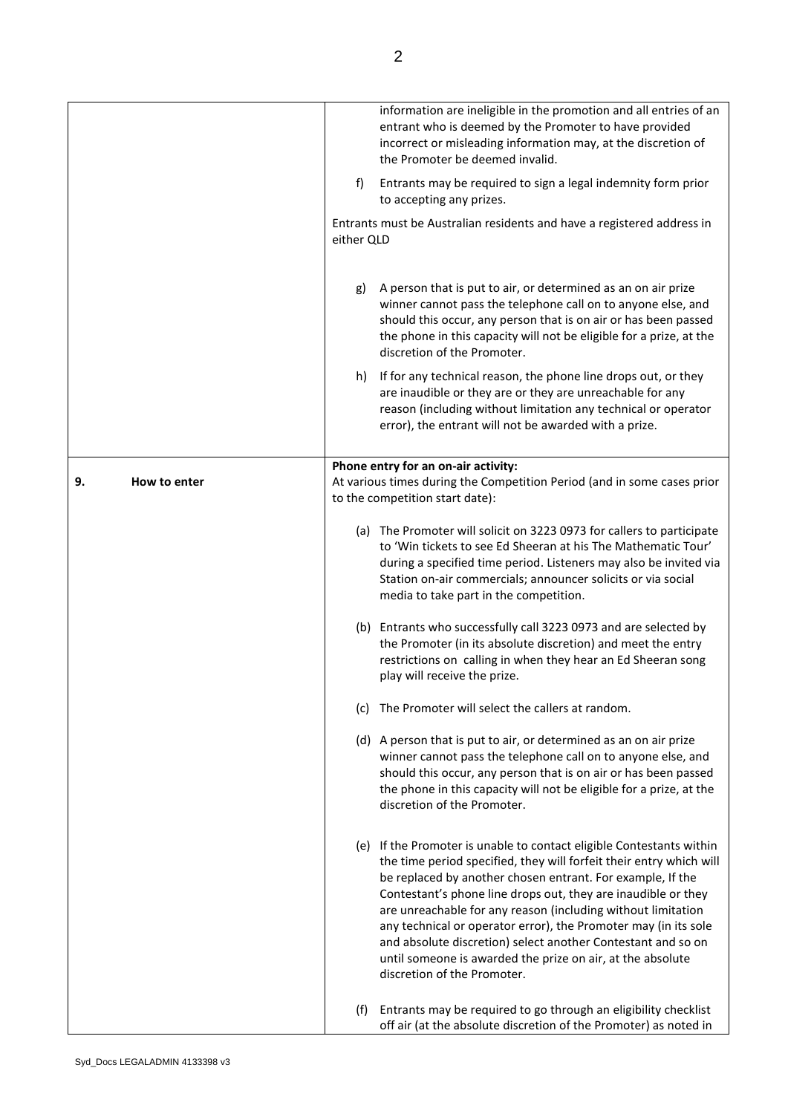|                    | information are ineligible in the promotion and all entries of an<br>entrant who is deemed by the Promoter to have provided<br>incorrect or misleading information may, at the discretion of<br>the Promoter be deemed invalid.                                                                                                                                                                                                                                                                                                                                            |
|--------------------|----------------------------------------------------------------------------------------------------------------------------------------------------------------------------------------------------------------------------------------------------------------------------------------------------------------------------------------------------------------------------------------------------------------------------------------------------------------------------------------------------------------------------------------------------------------------------|
|                    | f)<br>Entrants may be required to sign a legal indemnity form prior<br>to accepting any prizes.                                                                                                                                                                                                                                                                                                                                                                                                                                                                            |
|                    | Entrants must be Australian residents and have a registered address in<br>either QLD                                                                                                                                                                                                                                                                                                                                                                                                                                                                                       |
|                    | A person that is put to air, or determined as an on air prize<br>g)<br>winner cannot pass the telephone call on to anyone else, and<br>should this occur, any person that is on air or has been passed<br>the phone in this capacity will not be eligible for a prize, at the<br>discretion of the Promoter.                                                                                                                                                                                                                                                               |
|                    | If for any technical reason, the phone line drops out, or they<br>h)<br>are inaudible or they are or they are unreachable for any<br>reason (including without limitation any technical or operator<br>error), the entrant will not be awarded with a prize.                                                                                                                                                                                                                                                                                                               |
| 9.<br>How to enter | Phone entry for an on-air activity:<br>At various times during the Competition Period (and in some cases prior<br>to the competition start date):                                                                                                                                                                                                                                                                                                                                                                                                                          |
|                    | (a) The Promoter will solicit on 3223 0973 for callers to participate<br>to 'Win tickets to see Ed Sheeran at his The Mathematic Tour'<br>during a specified time period. Listeners may also be invited via<br>Station on-air commercials; announcer solicits or via social<br>media to take part in the competition.                                                                                                                                                                                                                                                      |
|                    | (b) Entrants who successfully call 3223 0973 and are selected by<br>the Promoter (in its absolute discretion) and meet the entry<br>restrictions on calling in when they hear an Ed Sheeran song<br>play will receive the prize.                                                                                                                                                                                                                                                                                                                                           |
|                    | The Promoter will select the callers at random.<br>(c)                                                                                                                                                                                                                                                                                                                                                                                                                                                                                                                     |
|                    | (d) A person that is put to air, or determined as an on air prize<br>winner cannot pass the telephone call on to anyone else, and<br>should this occur, any person that is on air or has been passed<br>the phone in this capacity will not be eligible for a prize, at the<br>discretion of the Promoter.                                                                                                                                                                                                                                                                 |
|                    | (e) If the Promoter is unable to contact eligible Contestants within<br>the time period specified, they will forfeit their entry which will<br>be replaced by another chosen entrant. For example, If the<br>Contestant's phone line drops out, they are inaudible or they<br>are unreachable for any reason (including without limitation<br>any technical or operator error), the Promoter may (in its sole<br>and absolute discretion) select another Contestant and so on<br>until someone is awarded the prize on air, at the absolute<br>discretion of the Promoter. |
|                    | Entrants may be required to go through an eligibility checklist<br>(f)<br>off air (at the absolute discretion of the Promoter) as noted in                                                                                                                                                                                                                                                                                                                                                                                                                                 |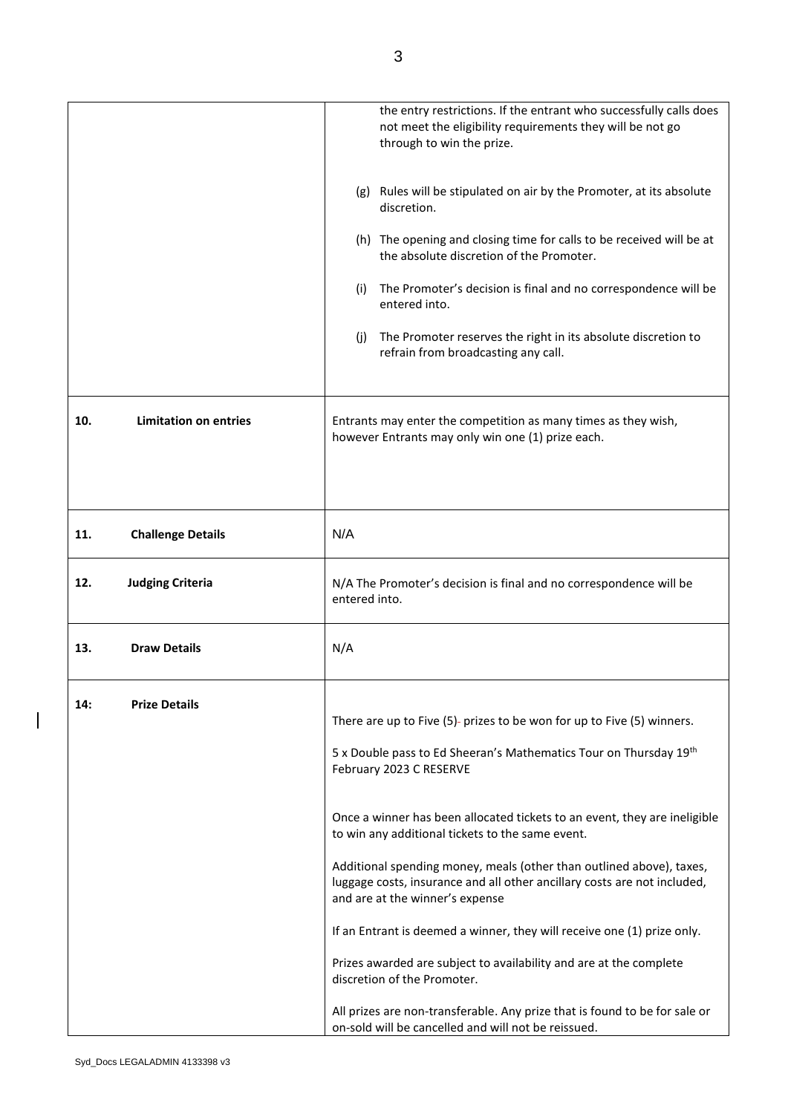|     |                              | the entry restrictions. If the entrant who successfully calls does<br>not meet the eligibility requirements they will be not go<br>through to win the prize.                        |
|-----|------------------------------|-------------------------------------------------------------------------------------------------------------------------------------------------------------------------------------|
|     |                              | (g) Rules will be stipulated on air by the Promoter, at its absolute<br>discretion.                                                                                                 |
|     |                              | (h) The opening and closing time for calls to be received will be at<br>the absolute discretion of the Promoter.                                                                    |
|     |                              | The Promoter's decision is final and no correspondence will be<br>(i)<br>entered into.                                                                                              |
|     |                              | The Promoter reserves the right in its absolute discretion to<br>(i)<br>refrain from broadcasting any call.                                                                         |
| 10. | <b>Limitation on entries</b> | Entrants may enter the competition as many times as they wish,<br>however Entrants may only win one (1) prize each.                                                                 |
| 11. | <b>Challenge Details</b>     | N/A                                                                                                                                                                                 |
| 12. | <b>Judging Criteria</b>      | N/A The Promoter's decision is final and no correspondence will be<br>entered into.                                                                                                 |
| 13. | <b>Draw Details</b>          | N/A                                                                                                                                                                                 |
| 14: | <b>Prize Details</b>         | There are up to Five (5)- prizes to be won for up to Five (5) winners.                                                                                                              |
|     |                              | 5 x Double pass to Ed Sheeran's Mathematics Tour on Thursday 19th<br>February 2023 C RESERVE                                                                                        |
|     |                              | Once a winner has been allocated tickets to an event, they are ineligible<br>to win any additional tickets to the same event.                                                       |
|     |                              | Additional spending money, meals (other than outlined above), taxes,<br>luggage costs, insurance and all other ancillary costs are not included,<br>and are at the winner's expense |
|     |                              | If an Entrant is deemed a winner, they will receive one (1) prize only.                                                                                                             |
|     |                              | Prizes awarded are subject to availability and are at the complete<br>discretion of the Promoter.                                                                                   |
|     |                              | All prizes are non-transferable. Any prize that is found to be for sale or<br>on-sold will be cancelled and will not be reissued.                                                   |

 $\begin{array}{c} \hline \end{array}$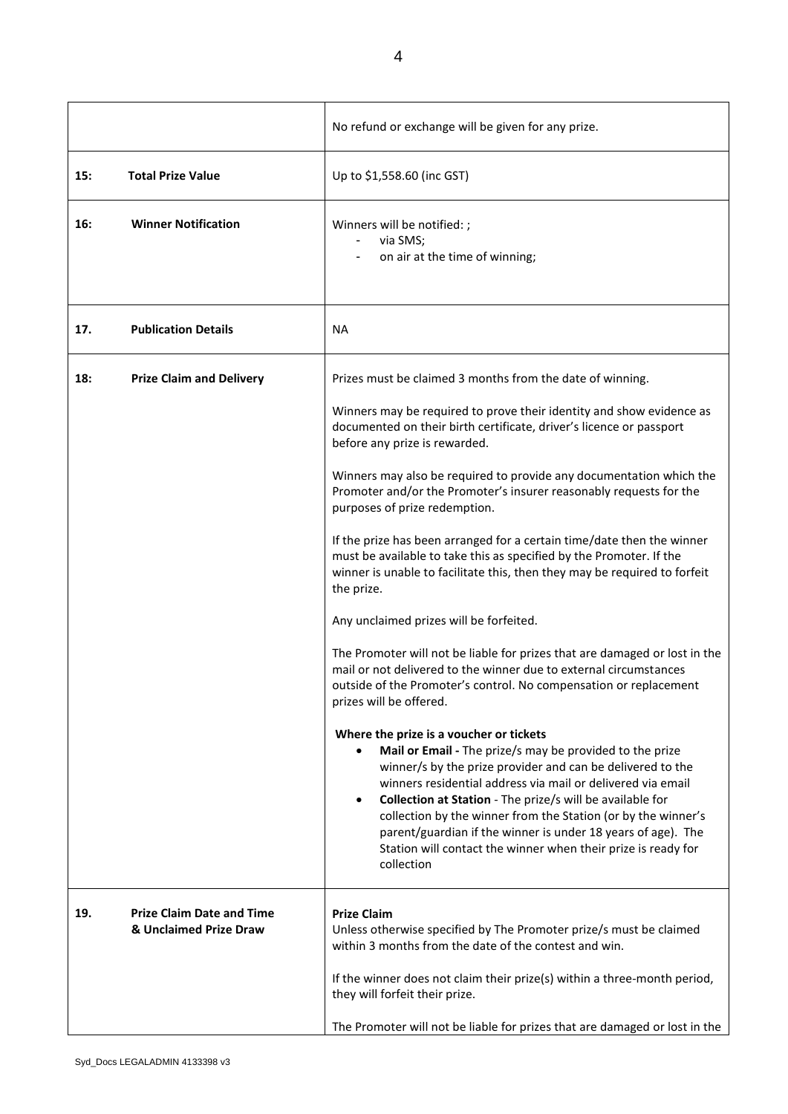|     |                                                            | No refund or exchange will be given for any prize.                                                                                                                                                                                                                                                                                                                                                                                                                                                                         |
|-----|------------------------------------------------------------|----------------------------------------------------------------------------------------------------------------------------------------------------------------------------------------------------------------------------------------------------------------------------------------------------------------------------------------------------------------------------------------------------------------------------------------------------------------------------------------------------------------------------|
| 15: | <b>Total Prize Value</b>                                   | Up to \$1,558.60 (inc GST)                                                                                                                                                                                                                                                                                                                                                                                                                                                                                                 |
| 16: | <b>Winner Notification</b>                                 | Winners will be notified: ;<br>via SMS;<br>on air at the time of winning;                                                                                                                                                                                                                                                                                                                                                                                                                                                  |
| 17. | <b>Publication Details</b>                                 | <b>NA</b>                                                                                                                                                                                                                                                                                                                                                                                                                                                                                                                  |
| 18: | <b>Prize Claim and Delivery</b>                            | Prizes must be claimed 3 months from the date of winning.                                                                                                                                                                                                                                                                                                                                                                                                                                                                  |
|     |                                                            | Winners may be required to prove their identity and show evidence as<br>documented on their birth certificate, driver's licence or passport<br>before any prize is rewarded.                                                                                                                                                                                                                                                                                                                                               |
|     |                                                            | Winners may also be required to provide any documentation which the<br>Promoter and/or the Promoter's insurer reasonably requests for the<br>purposes of prize redemption.                                                                                                                                                                                                                                                                                                                                                 |
|     |                                                            | If the prize has been arranged for a certain time/date then the winner<br>must be available to take this as specified by the Promoter. If the<br>winner is unable to facilitate this, then they may be required to forfeit<br>the prize.                                                                                                                                                                                                                                                                                   |
|     |                                                            | Any unclaimed prizes will be forfeited.                                                                                                                                                                                                                                                                                                                                                                                                                                                                                    |
|     |                                                            | The Promoter will not be liable for prizes that are damaged or lost in the<br>mail or not delivered to the winner due to external circumstances<br>outside of the Promoter's control. No compensation or replacement<br>prizes will be offered.                                                                                                                                                                                                                                                                            |
|     |                                                            | Where the prize is a voucher or tickets<br>Mail or Email - The prize/s may be provided to the prize<br>winner/s by the prize provider and can be delivered to the<br>winners residential address via mail or delivered via email<br>Collection at Station - The prize/s will be available for<br>$\bullet$<br>collection by the winner from the Station (or by the winner's<br>parent/guardian if the winner is under 18 years of age). The<br>Station will contact the winner when their prize is ready for<br>collection |
| 19. | <b>Prize Claim Date and Time</b><br>& Unclaimed Prize Draw | <b>Prize Claim</b><br>Unless otherwise specified by The Promoter prize/s must be claimed<br>within 3 months from the date of the contest and win.                                                                                                                                                                                                                                                                                                                                                                          |
|     |                                                            | If the winner does not claim their prize(s) within a three-month period,<br>they will forfeit their prize.                                                                                                                                                                                                                                                                                                                                                                                                                 |
|     |                                                            | The Promoter will not be liable for prizes that are damaged or lost in the                                                                                                                                                                                                                                                                                                                                                                                                                                                 |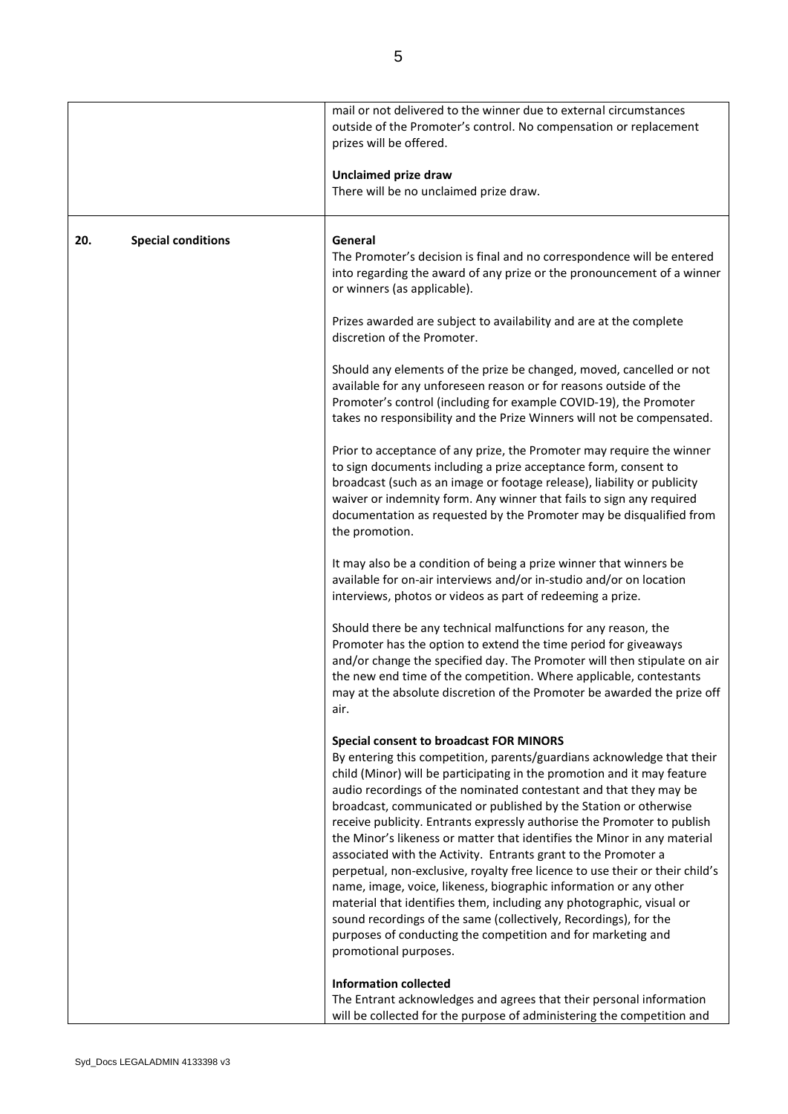|     |                           | mail or not delivered to the winner due to external circumstances<br>outside of the Promoter's control. No compensation or replacement<br>prizes will be offered.<br>Unclaimed prize draw<br>There will be no unclaimed prize draw.                                                                                                                                                                                                                                                                                                                                                                                                                                                                                                                                                                                                                                                                                                                             |
|-----|---------------------------|-----------------------------------------------------------------------------------------------------------------------------------------------------------------------------------------------------------------------------------------------------------------------------------------------------------------------------------------------------------------------------------------------------------------------------------------------------------------------------------------------------------------------------------------------------------------------------------------------------------------------------------------------------------------------------------------------------------------------------------------------------------------------------------------------------------------------------------------------------------------------------------------------------------------------------------------------------------------|
| 20. | <b>Special conditions</b> | General<br>The Promoter's decision is final and no correspondence will be entered<br>into regarding the award of any prize or the pronouncement of a winner<br>or winners (as applicable).                                                                                                                                                                                                                                                                                                                                                                                                                                                                                                                                                                                                                                                                                                                                                                      |
|     |                           | Prizes awarded are subject to availability and are at the complete<br>discretion of the Promoter.                                                                                                                                                                                                                                                                                                                                                                                                                                                                                                                                                                                                                                                                                                                                                                                                                                                               |
|     |                           | Should any elements of the prize be changed, moved, cancelled or not<br>available for any unforeseen reason or for reasons outside of the<br>Promoter's control (including for example COVID-19), the Promoter<br>takes no responsibility and the Prize Winners will not be compensated.                                                                                                                                                                                                                                                                                                                                                                                                                                                                                                                                                                                                                                                                        |
|     |                           | Prior to acceptance of any prize, the Promoter may require the winner<br>to sign documents including a prize acceptance form, consent to<br>broadcast (such as an image or footage release), liability or publicity<br>waiver or indemnity form. Any winner that fails to sign any required<br>documentation as requested by the Promoter may be disqualified from<br>the promotion.                                                                                                                                                                                                                                                                                                                                                                                                                                                                                                                                                                            |
|     |                           | It may also be a condition of being a prize winner that winners be<br>available for on-air interviews and/or in-studio and/or on location<br>interviews, photos or videos as part of redeeming a prize.                                                                                                                                                                                                                                                                                                                                                                                                                                                                                                                                                                                                                                                                                                                                                         |
|     |                           | Should there be any technical malfunctions for any reason, the<br>Promoter has the option to extend the time period for giveaways<br>and/or change the specified day. The Promoter will then stipulate on air<br>the new end time of the competition. Where applicable, contestants<br>may at the absolute discretion of the Promoter be awarded the prize off<br>air.                                                                                                                                                                                                                                                                                                                                                                                                                                                                                                                                                                                          |
|     |                           | <b>Special consent to broadcast FOR MINORS</b><br>By entering this competition, parents/guardians acknowledge that their<br>child (Minor) will be participating in the promotion and it may feature<br>audio recordings of the nominated contestant and that they may be<br>broadcast, communicated or published by the Station or otherwise<br>receive publicity. Entrants expressly authorise the Promoter to publish<br>the Minor's likeness or matter that identifies the Minor in any material<br>associated with the Activity. Entrants grant to the Promoter a<br>perpetual, non-exclusive, royalty free licence to use their or their child's<br>name, image, voice, likeness, biographic information or any other<br>material that identifies them, including any photographic, visual or<br>sound recordings of the same (collectively, Recordings), for the<br>purposes of conducting the competition and for marketing and<br>promotional purposes. |
|     |                           | <b>Information collected</b><br>The Entrant acknowledges and agrees that their personal information<br>will be collected for the purpose of administering the competition and                                                                                                                                                                                                                                                                                                                                                                                                                                                                                                                                                                                                                                                                                                                                                                                   |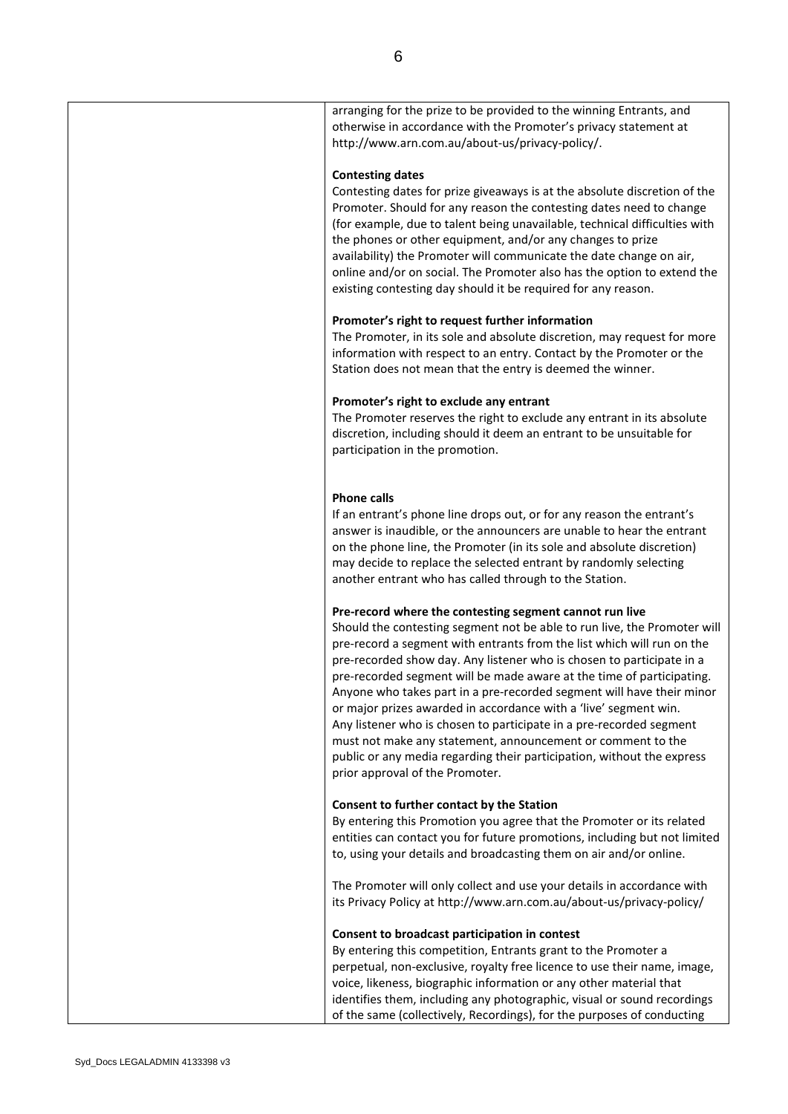| arranging for the prize to be provided to the winning Entrants, and<br>otherwise in accordance with the Promoter's privacy statement at<br>http://www.arn.com.au/about-us/privacy-policy/.                                                                                                                                                                                                                                                                                                                                                                                                                                                                                                                                                                      |
|-----------------------------------------------------------------------------------------------------------------------------------------------------------------------------------------------------------------------------------------------------------------------------------------------------------------------------------------------------------------------------------------------------------------------------------------------------------------------------------------------------------------------------------------------------------------------------------------------------------------------------------------------------------------------------------------------------------------------------------------------------------------|
| <b>Contesting dates</b><br>Contesting dates for prize giveaways is at the absolute discretion of the<br>Promoter. Should for any reason the contesting dates need to change<br>(for example, due to talent being unavailable, technical difficulties with<br>the phones or other equipment, and/or any changes to prize<br>availability) the Promoter will communicate the date change on air,<br>online and/or on social. The Promoter also has the option to extend the<br>existing contesting day should it be required for any reason.                                                                                                                                                                                                                      |
| Promoter's right to request further information<br>The Promoter, in its sole and absolute discretion, may request for more<br>information with respect to an entry. Contact by the Promoter or the<br>Station does not mean that the entry is deemed the winner.                                                                                                                                                                                                                                                                                                                                                                                                                                                                                                |
| Promoter's right to exclude any entrant<br>The Promoter reserves the right to exclude any entrant in its absolute<br>discretion, including should it deem an entrant to be unsuitable for<br>participation in the promotion.                                                                                                                                                                                                                                                                                                                                                                                                                                                                                                                                    |
| <b>Phone calls</b><br>If an entrant's phone line drops out, or for any reason the entrant's<br>answer is inaudible, or the announcers are unable to hear the entrant<br>on the phone line, the Promoter (in its sole and absolute discretion)<br>may decide to replace the selected entrant by randomly selecting<br>another entrant who has called through to the Station.                                                                                                                                                                                                                                                                                                                                                                                     |
| Pre-record where the contesting segment cannot run live<br>Should the contesting segment not be able to run live, the Promoter will<br>pre-record a segment with entrants from the list which will run on the<br>pre-recorded show day. Any listener who is chosen to participate in a<br>pre-recorded segment will be made aware at the time of participating.<br>Anyone who takes part in a pre-recorded segment will have their minor<br>or major prizes awarded in accordance with a 'live' segment win.<br>Any listener who is chosen to participate in a pre-recorded segment<br>must not make any statement, announcement or comment to the<br>public or any media regarding their participation, without the express<br>prior approval of the Promoter. |
| Consent to further contact by the Station<br>By entering this Promotion you agree that the Promoter or its related<br>entities can contact you for future promotions, including but not limited<br>to, using your details and broadcasting them on air and/or online.                                                                                                                                                                                                                                                                                                                                                                                                                                                                                           |
| The Promoter will only collect and use your details in accordance with<br>its Privacy Policy at http://www.arn.com.au/about-us/privacy-policy/                                                                                                                                                                                                                                                                                                                                                                                                                                                                                                                                                                                                                  |
| Consent to broadcast participation in contest<br>By entering this competition, Entrants grant to the Promoter a<br>perpetual, non-exclusive, royalty free licence to use their name, image,<br>voice, likeness, biographic information or any other material that<br>identifies them, including any photographic, visual or sound recordings<br>of the same (collectively, Recordings), for the purposes of conducting                                                                                                                                                                                                                                                                                                                                          |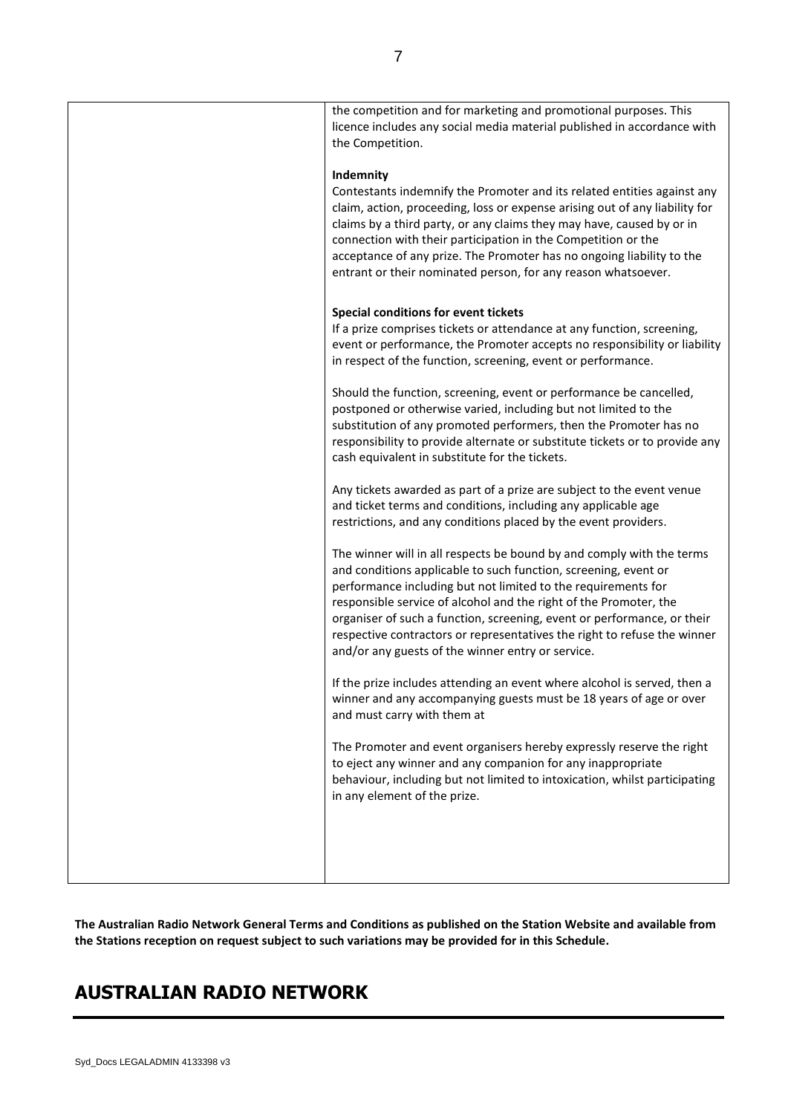| the Competition. | the competition and for marketing and promotional purposes. This<br>licence includes any social media material published in accordance with                                                                                                                                                                                                                                                                                                                                                |
|------------------|--------------------------------------------------------------------------------------------------------------------------------------------------------------------------------------------------------------------------------------------------------------------------------------------------------------------------------------------------------------------------------------------------------------------------------------------------------------------------------------------|
| Indemnity        | Contestants indemnify the Promoter and its related entities against any<br>claim, action, proceeding, loss or expense arising out of any liability for<br>claims by a third party, or any claims they may have, caused by or in<br>connection with their participation in the Competition or the<br>acceptance of any prize. The Promoter has no ongoing liability to the<br>entrant or their nominated person, for any reason whatsoever.                                                 |
|                  | Special conditions for event tickets<br>If a prize comprises tickets or attendance at any function, screening,<br>event or performance, the Promoter accepts no responsibility or liability<br>in respect of the function, screening, event or performance.                                                                                                                                                                                                                                |
|                  | Should the function, screening, event or performance be cancelled,<br>postponed or otherwise varied, including but not limited to the<br>substitution of any promoted performers, then the Promoter has no<br>responsibility to provide alternate or substitute tickets or to provide any<br>cash equivalent in substitute for the tickets.                                                                                                                                                |
|                  | Any tickets awarded as part of a prize are subject to the event venue<br>and ticket terms and conditions, including any applicable age<br>restrictions, and any conditions placed by the event providers.                                                                                                                                                                                                                                                                                  |
|                  | The winner will in all respects be bound by and comply with the terms<br>and conditions applicable to such function, screening, event or<br>performance including but not limited to the requirements for<br>responsible service of alcohol and the right of the Promoter, the<br>organiser of such a function, screening, event or performance, or their<br>respective contractors or representatives the right to refuse the winner<br>and/or any guests of the winner entry or service. |
|                  | If the prize includes attending an event where alcohol is served, then a<br>winner and any accompanying guests must be 18 years of age or over<br>and must carry with them at                                                                                                                                                                                                                                                                                                              |
|                  | The Promoter and event organisers hereby expressly reserve the right<br>to eject any winner and any companion for any inappropriate<br>behaviour, including but not limited to intoxication, whilst participating<br>in any element of the prize.                                                                                                                                                                                                                                          |
|                  |                                                                                                                                                                                                                                                                                                                                                                                                                                                                                            |

**The Australian Radio Network General Terms and Conditions as published on the Station Website and available from the Stations reception on request subject to such variations may be provided for in this Schedule.**

# **AUSTRALIAN RADIO NETWORK**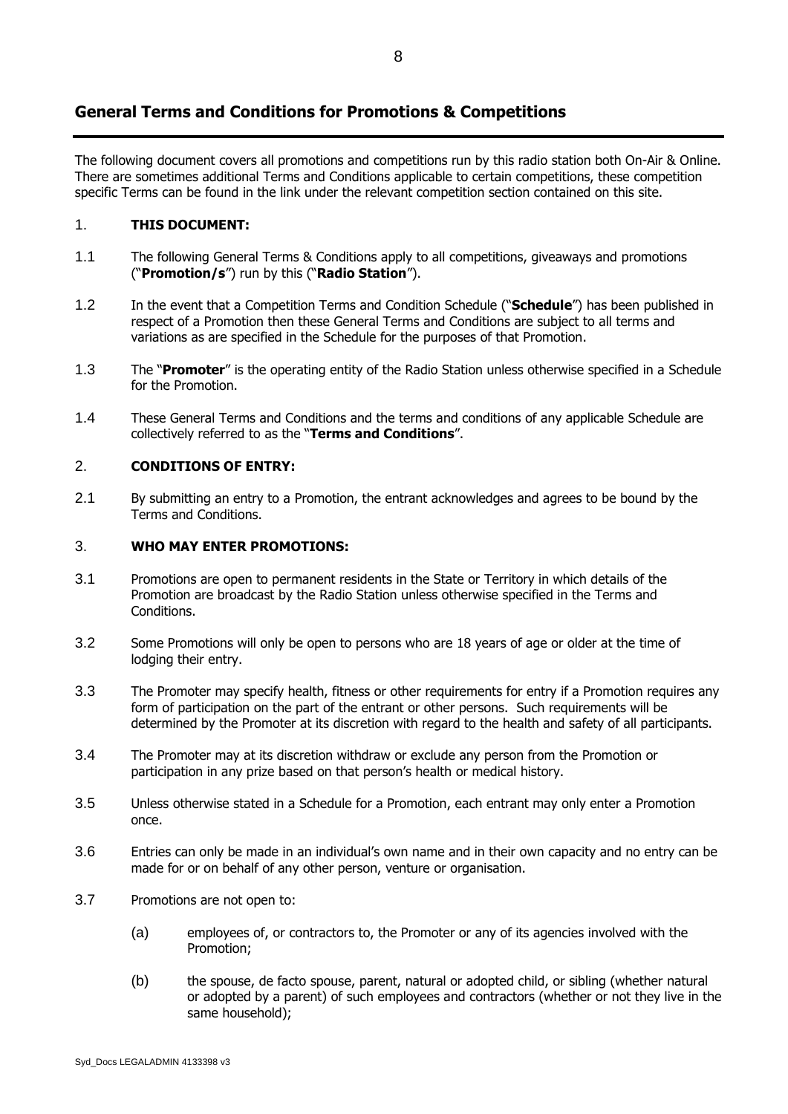## **General Terms and Conditions for Promotions & Competitions**

The following document covers all promotions and competitions run by this radio station both On-Air & Online. There are sometimes additional Terms and Conditions applicable to certain competitions, these competition specific Terms can be found in the link under the relevant competition section contained on this site.

## 1. **THIS DOCUMENT:**

- 1.1 The following General Terms & Conditions apply to all competitions, giveaways and promotions ("**Promotion/s**") run by this ("**Radio Station**").
- 1.2 In the event that a Competition Terms and Condition Schedule ("**Schedule**") has been published in respect of a Promotion then these General Terms and Conditions are subject to all terms and variations as are specified in the Schedule for the purposes of that Promotion.
- 1.3 The "**Promoter**" is the operating entity of the Radio Station unless otherwise specified in a Schedule for the Promotion.
- 1.4 These General Terms and Conditions and the terms and conditions of any applicable Schedule are collectively referred to as the "**Terms and Conditions**".

## 2. **CONDITIONS OF ENTRY:**

2.1 By submitting an entry to a Promotion, the entrant acknowledges and agrees to be bound by the Terms and Conditions.

## 3. **WHO MAY ENTER PROMOTIONS:**

- 3.1 Promotions are open to permanent residents in the State or Territory in which details of the Promotion are broadcast by the Radio Station unless otherwise specified in the Terms and Conditions.
- 3.2 Some Promotions will only be open to persons who are 18 years of age or older at the time of lodging their entry.
- 3.3 The Promoter may specify health, fitness or other requirements for entry if a Promotion requires any form of participation on the part of the entrant or other persons. Such requirements will be determined by the Promoter at its discretion with regard to the health and safety of all participants.
- 3.4 The Promoter may at its discretion withdraw or exclude any person from the Promotion or participation in any prize based on that person's health or medical history.
- 3.5 Unless otherwise stated in a Schedule for a Promotion, each entrant may only enter a Promotion once.
- 3.6 Entries can only be made in an individual's own name and in their own capacity and no entry can be made for or on behalf of any other person, venture or organisation.
- 3.7 Promotions are not open to:
	- (a) employees of, or contractors to, the Promoter or any of its agencies involved with the Promotion;
	- (b) the spouse, de facto spouse, parent, natural or adopted child, or sibling (whether natural or adopted by a parent) of such employees and contractors (whether or not they live in the same household);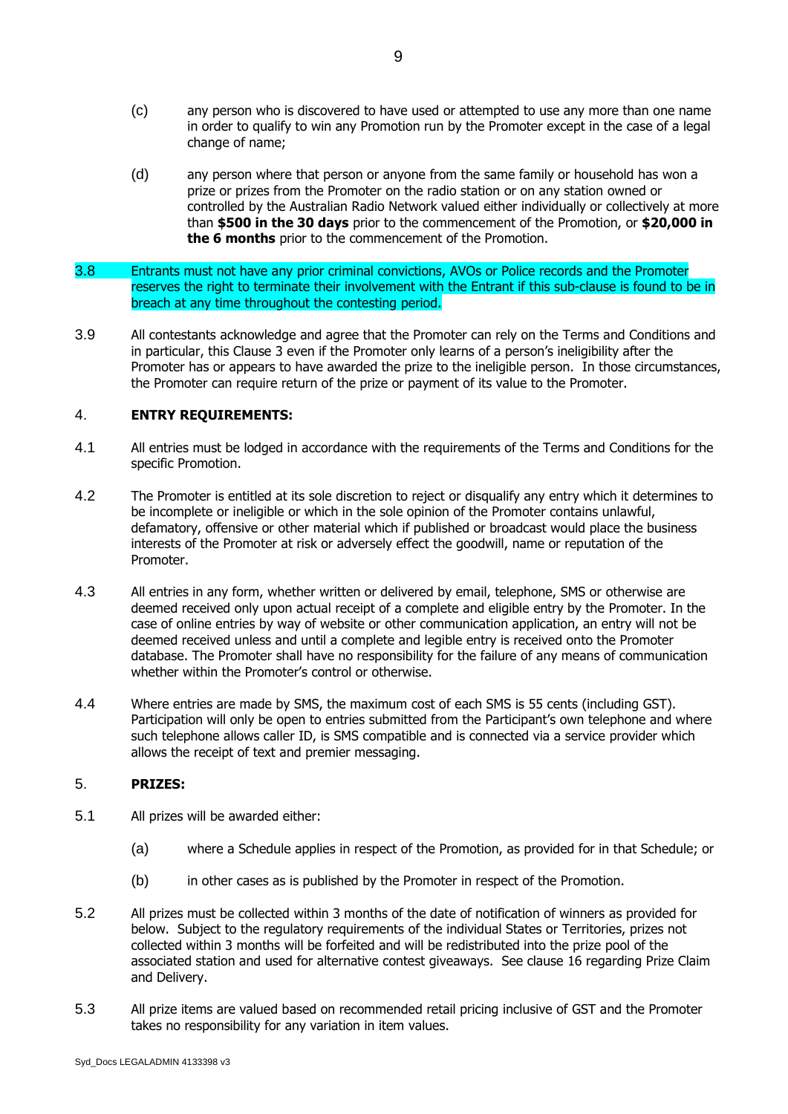- (c) any person who is discovered to have used or attempted to use any more than one name in order to qualify to win any Promotion run by the Promoter except in the case of a legal change of name;
- (d) any person where that person or anyone from the same family or household has won a prize or prizes from the Promoter on the radio station or on any station owned or controlled by the Australian Radio Network valued either individually or collectively at more than **\$500 in the 30 days** prior to the commencement of the Promotion, or **\$20,000 in the 6 months** prior to the commencement of the Promotion.
- 3.8 Entrants must not have any prior criminal convictions, AVOs or Police records and the Promoter reserves the right to terminate their involvement with the Entrant if this sub-clause is found to be in breach at any time throughout the contesting period.
- 3.9 All contestants acknowledge and agree that the Promoter can rely on the Terms and Conditions and in particular, this Clause 3 even if the Promoter only learns of a person's ineligibility after the Promoter has or appears to have awarded the prize to the ineligible person. In those circumstances, the Promoter can require return of the prize or payment of its value to the Promoter.

## 4. **ENTRY REQUIREMENTS:**

- 4.1 All entries must be lodged in accordance with the requirements of the Terms and Conditions for the specific Promotion.
- 4.2 The Promoter is entitled at its sole discretion to reject or disqualify any entry which it determines to be incomplete or ineligible or which in the sole opinion of the Promoter contains unlawful, defamatory, offensive or other material which if published or broadcast would place the business interests of the Promoter at risk or adversely effect the goodwill, name or reputation of the Promoter.
- 4.3 All entries in any form, whether written or delivered by email, telephone, SMS or otherwise are deemed received only upon actual receipt of a complete and eligible entry by the Promoter. In the case of online entries by way of website or other communication application, an entry will not be deemed received unless and until a complete and legible entry is received onto the Promoter database. The Promoter shall have no responsibility for the failure of any means of communication whether within the Promoter's control or otherwise.
- 4.4 Where entries are made by SMS, the maximum cost of each SMS is 55 cents (including GST). Participation will only be open to entries submitted from the Participant's own telephone and where such telephone allows caller ID, is SMS compatible and is connected via a service provider which allows the receipt of text and premier messaging.

## 5. **PRIZES:**

- 5.1 All prizes will be awarded either:
	- (a) where a Schedule applies in respect of the Promotion, as provided for in that Schedule; or
	- (b) in other cases as is published by the Promoter in respect of the Promotion.
- 5.2 All prizes must be collected within 3 months of the date of notification of winners as provided for below. Subject to the regulatory requirements of the individual States or Territories, prizes not collected within 3 months will be forfeited and will be redistributed into the prize pool of the associated station and used for alternative contest giveaways. See clause 16 regarding Prize Claim and Delivery.
- 5.3 All prize items are valued based on recommended retail pricing inclusive of GST and the Promoter takes no responsibility for any variation in item values.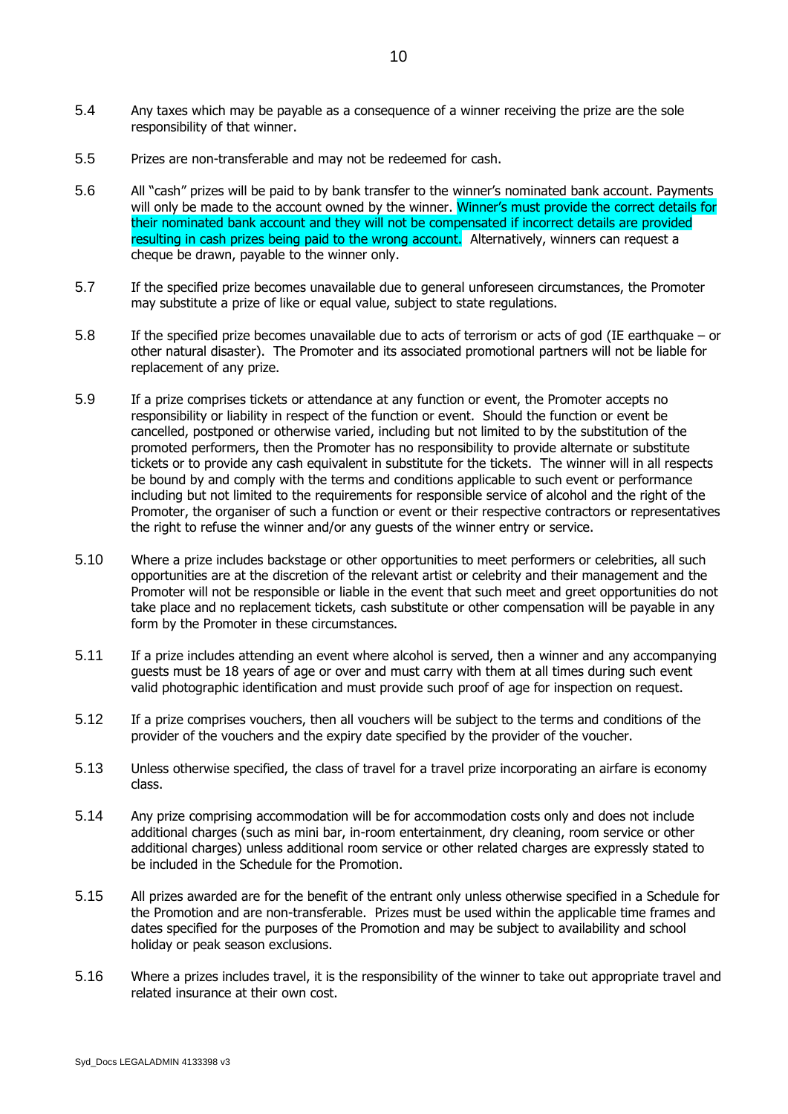- 5.4 Any taxes which may be payable as a consequence of a winner receiving the prize are the sole responsibility of that winner.
- 5.5 Prizes are non-transferable and may not be redeemed for cash.
- 5.6 All "cash" prizes will be paid to by bank transfer to the winner's nominated bank account. Payments will only be made to the account owned by the winner. Winner's must provide the correct details for their nominated bank account and they will not be compensated if incorrect details are provided resulting in cash prizes being paid to the wrong account. Alternatively, winners can request a cheque be drawn, payable to the winner only.
- 5.7 If the specified prize becomes unavailable due to general unforeseen circumstances, the Promoter may substitute a prize of like or equal value, subject to state regulations.
- 5.8 If the specified prize becomes unavailable due to acts of terrorism or acts of god (IE earthquake or other natural disaster). The Promoter and its associated promotional partners will not be liable for replacement of any prize.
- 5.9 If a prize comprises tickets or attendance at any function or event, the Promoter accepts no responsibility or liability in respect of the function or event. Should the function or event be cancelled, postponed or otherwise varied, including but not limited to by the substitution of the promoted performers, then the Promoter has no responsibility to provide alternate or substitute tickets or to provide any cash equivalent in substitute for the tickets. The winner will in all respects be bound by and comply with the terms and conditions applicable to such event or performance including but not limited to the requirements for responsible service of alcohol and the right of the Promoter, the organiser of such a function or event or their respective contractors or representatives the right to refuse the winner and/or any guests of the winner entry or service.
- 5.10 Where a prize includes backstage or other opportunities to meet performers or celebrities, all such opportunities are at the discretion of the relevant artist or celebrity and their management and the Promoter will not be responsible or liable in the event that such meet and greet opportunities do not take place and no replacement tickets, cash substitute or other compensation will be payable in any form by the Promoter in these circumstances.
- 5.11 If a prize includes attending an event where alcohol is served, then a winner and any accompanying guests must be 18 years of age or over and must carry with them at all times during such event valid photographic identification and must provide such proof of age for inspection on request.
- 5.12 If a prize comprises vouchers, then all vouchers will be subject to the terms and conditions of the provider of the vouchers and the expiry date specified by the provider of the voucher.
- 5.13 Unless otherwise specified, the class of travel for a travel prize incorporating an airfare is economy class.
- 5.14 Any prize comprising accommodation will be for accommodation costs only and does not include additional charges (such as mini bar, in-room entertainment, dry cleaning, room service or other additional charges) unless additional room service or other related charges are expressly stated to be included in the Schedule for the Promotion.
- 5.15 All prizes awarded are for the benefit of the entrant only unless otherwise specified in a Schedule for the Promotion and are non-transferable. Prizes must be used within the applicable time frames and dates specified for the purposes of the Promotion and may be subject to availability and school holiday or peak season exclusions.
- 5.16 Where a prizes includes travel, it is the responsibility of the winner to take out appropriate travel and related insurance at their own cost.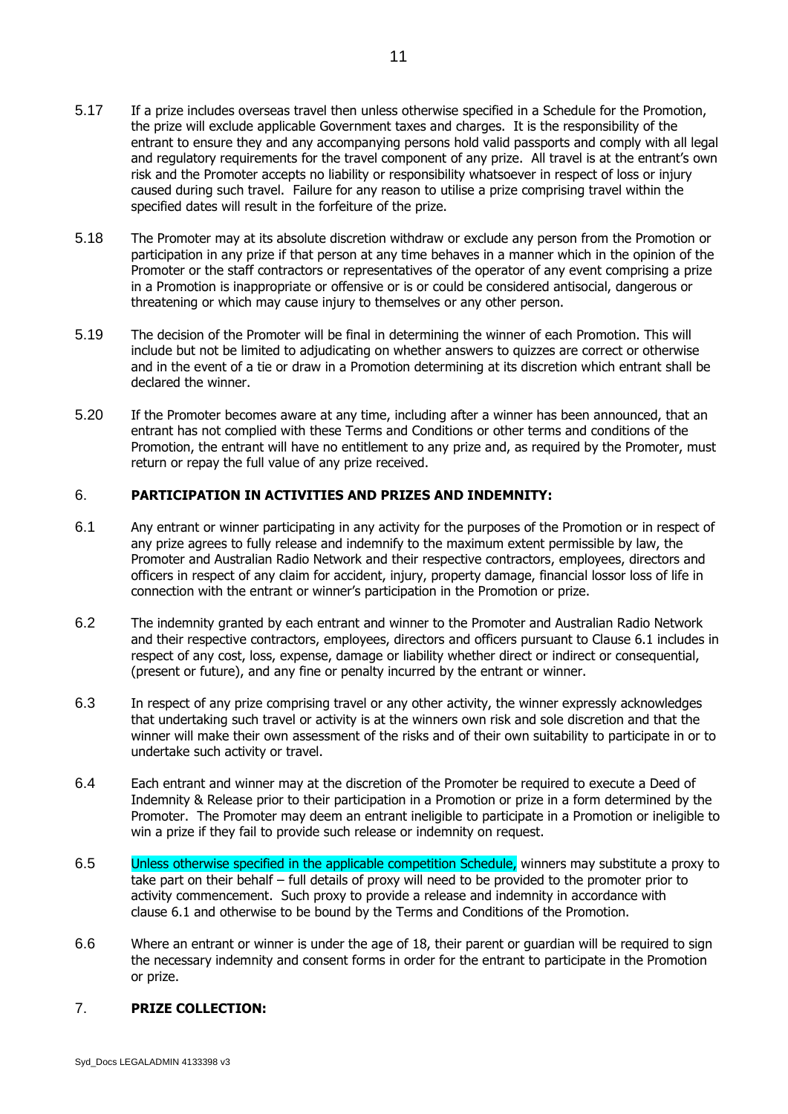- 5.18 The Promoter may at its absolute discretion withdraw or exclude any person from the Promotion or participation in any prize if that person at any time behaves in a manner which in the opinion of the Promoter or the staff contractors or representatives of the operator of any event comprising a prize in a Promotion is inappropriate or offensive or is or could be considered antisocial, dangerous or threatening or which may cause injury to themselves or any other person.
- 5.19 The decision of the Promoter will be final in determining the winner of each Promotion. This will include but not be limited to adjudicating on whether answers to quizzes are correct or otherwise and in the event of a tie or draw in a Promotion determining at its discretion which entrant shall be declared the winner.
- 5.20 If the Promoter becomes aware at any time, including after a winner has been announced, that an entrant has not complied with these Terms and Conditions or other terms and conditions of the Promotion, the entrant will have no entitlement to any prize and, as required by the Promoter, must return or repay the full value of any prize received.

## 6. **PARTICIPATION IN ACTIVITIES AND PRIZES AND INDEMNITY:**

- <span id="page-10-0"></span>6.1 Any entrant or winner participating in any activity for the purposes of the Promotion or in respect of any prize agrees to fully release and indemnify to the maximum extent permissible by law, the Promoter and Australian Radio Network and their respective contractors, employees, directors and officers in respect of any claim for accident, injury, property damage, financial lossor loss of life in connection with the entrant or winner's participation in the Promotion or prize.
- 6.2 The indemnity granted by each entrant and winner to the Promoter and Australian Radio Network and their respective contractors, employees, directors and officers pursuant to Clause 6.1 includes in respect of any cost, loss, expense, damage or liability whether direct or indirect or consequential, (present or future), and any fine or penalty incurred by the entrant or winner.
- 6.3 In respect of any prize comprising travel or any other activity, the winner expressly acknowledges that undertaking such travel or activity is at the winners own risk and sole discretion and that the winner will make their own assessment of the risks and of their own suitability to participate in or to undertake such activity or travel.
- 6.4 Each entrant and winner may at the discretion of the Promoter be required to execute a Deed of Indemnity & Release prior to their participation in a Promotion or prize in a form determined by the Promoter. The Promoter may deem an entrant ineligible to participate in a Promotion or ineligible to win a prize if they fail to provide such release or indemnity on request.
- 6.5 Unless otherwise specified in the applicable competition Schedule, winners may substitute a proxy to take part on their behalf – full details of proxy will need to be provided to the promoter prior to activity commencement. Such proxy to provide a release and indemnity in accordance with clause [6.1](#page-10-0) and otherwise to be bound by the Terms and Conditions of the Promotion.
- 6.6 Where an entrant or winner is under the age of 18, their parent or guardian will be required to sign the necessary indemnity and consent forms in order for the entrant to participate in the Promotion or prize.

## 7. **PRIZE COLLECTION:**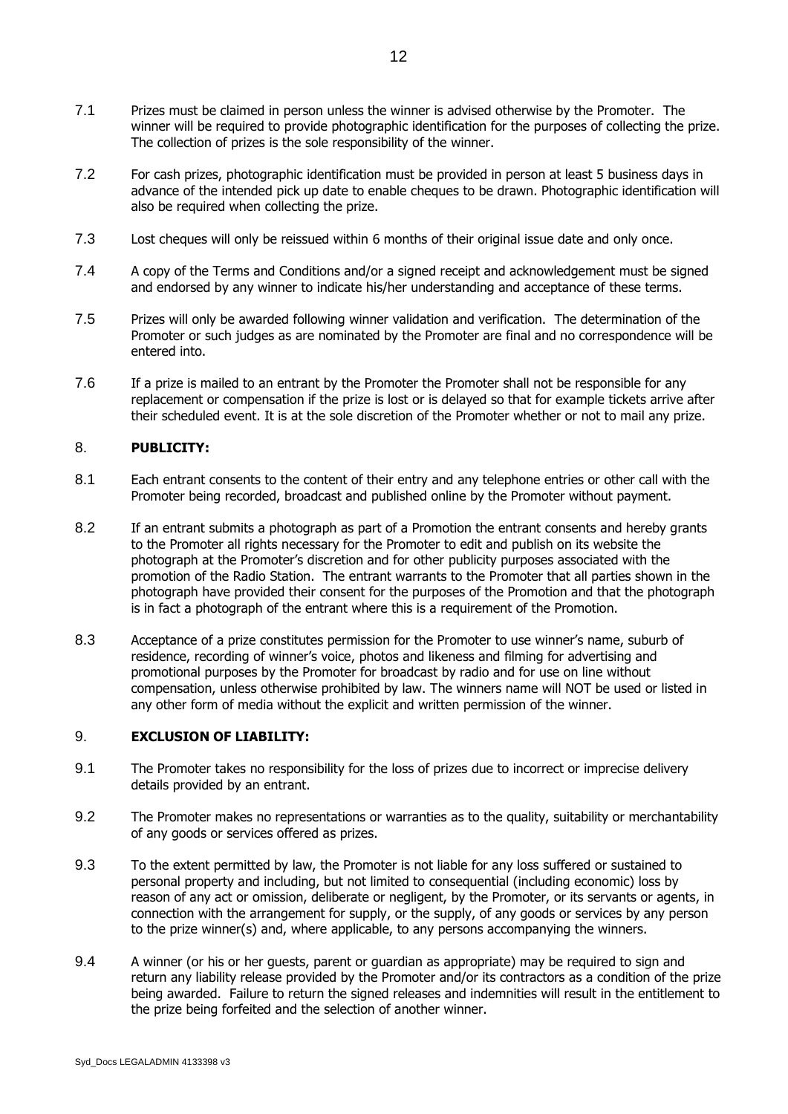- 7.1 Prizes must be claimed in person unless the winner is advised otherwise by the Promoter. The winner will be required to provide photographic identification for the purposes of collecting the prize. The collection of prizes is the sole responsibility of the winner.
- 7.2 For cash prizes, photographic identification must be provided in person at least 5 business days in advance of the intended pick up date to enable cheques to be drawn. Photographic identification will also be required when collecting the prize.
- 7.3 Lost cheques will only be reissued within 6 months of their original issue date and only once.
- 7.4 A copy of the Terms and Conditions and/or a signed receipt and acknowledgement must be signed and endorsed by any winner to indicate his/her understanding and acceptance of these terms.
- 7.5 Prizes will only be awarded following winner validation and verification. The determination of the Promoter or such judges as are nominated by the Promoter are final and no correspondence will be entered into.
- 7.6 If a prize is mailed to an entrant by the Promoter the Promoter shall not be responsible for any replacement or compensation if the prize is lost or is delayed so that for example tickets arrive after their scheduled event. It is at the sole discretion of the Promoter whether or not to mail any prize.

## 8. **PUBLICITY:**

- 8.1 Each entrant consents to the content of their entry and any telephone entries or other call with the Promoter being recorded, broadcast and published online by the Promoter without payment.
- 8.2 If an entrant submits a photograph as part of a Promotion the entrant consents and hereby grants to the Promoter all rights necessary for the Promoter to edit and publish on its website the photograph at the Promoter's discretion and for other publicity purposes associated with the promotion of the Radio Station. The entrant warrants to the Promoter that all parties shown in the photograph have provided their consent for the purposes of the Promotion and that the photograph is in fact a photograph of the entrant where this is a requirement of the Promotion.
- 8.3 Acceptance of a prize constitutes permission for the Promoter to use winner's name, suburb of residence, recording of winner's voice, photos and likeness and filming for advertising and promotional purposes by the Promoter for broadcast by radio and for use on line without compensation, unless otherwise prohibited by law. The winners name will NOT be used or listed in any other form of media without the explicit and written permission of the winner.

## 9. **EXCLUSION OF LIABILITY:**

- 9.1 The Promoter takes no responsibility for the loss of prizes due to incorrect or imprecise delivery details provided by an entrant.
- 9.2 The Promoter makes no representations or warranties as to the quality, suitability or merchantability of any goods or services offered as prizes.
- 9.3 To the extent permitted by law, the Promoter is not liable for any loss suffered or sustained to personal property and including, but not limited to consequential (including economic) loss by reason of any act or omission, deliberate or negligent, by the Promoter, or its servants or agents, in connection with the arrangement for supply, or the supply, of any goods or services by any person to the prize winner(s) and, where applicable, to any persons accompanying the winners.
- 9.4 A winner (or his or her guests, parent or guardian as appropriate) may be required to sign and return any liability release provided by the Promoter and/or its contractors as a condition of the prize being awarded. Failure to return the signed releases and indemnities will result in the entitlement to the prize being forfeited and the selection of another winner.